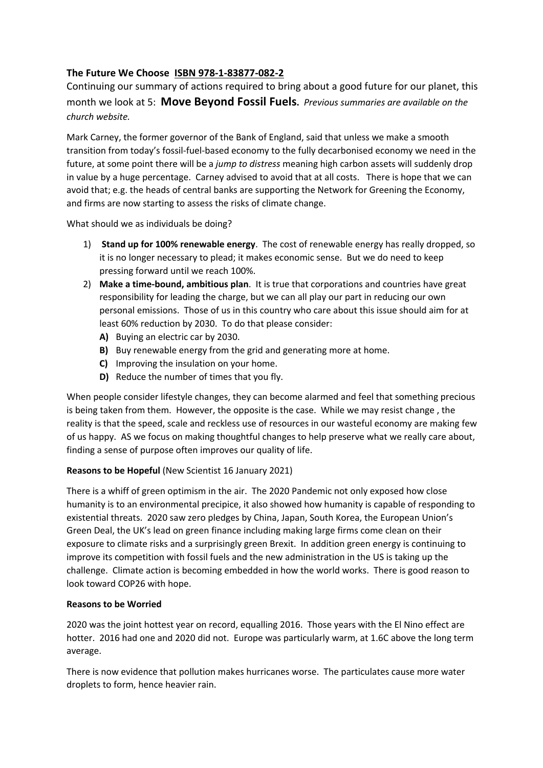# **The Future We Choose ISBN 978-1-83877-082-2**

Continuing our summary of actions required to bring about a good future for our planet, this month we look at 5: **Move Beyond Fossil Fuels.** *Previous summaries are available on the church website.*

Mark Carney, the former governor of the Bank of England, said that unless we make a smooth transition from today's fossil-fuel-based economy to the fully decarbonised economy we need in the future, at some point there will be a *jump to distress* meaning high carbon assets will suddenly drop in value by a huge percentage. Carney advised to avoid that at all costs. There is hope that we can avoid that; e.g. the heads of central banks are supporting the Network for Greening the Economy, and firms are now starting to assess the risks of climate change.

What should we as individuals be doing?

- 1) **Stand up for 100% renewable energy**. The cost of renewable energy has really dropped, so it is no longer necessary to plead; it makes economic sense. But we do need to keep pressing forward until we reach 100%.
- 2) **Make a time-bound, ambitious plan**. It is true that corporations and countries have great responsibility for leading the charge, but we can all play our part in reducing our own personal emissions. Those of us in this country who care about this issue should aim for at least 60% reduction by 2030. To do that please consider:
	- **A)** Buying an electric car by 2030.
	- **B)** Buy renewable energy from the grid and generating more at home.
	- **C)** Improving the insulation on your home.
	- **D)** Reduce the number of times that you fly.

When people consider lifestyle changes, they can become alarmed and feel that something precious is being taken from them. However, the opposite is the case. While we may resist change , the reality is that the speed, scale and reckless use of resources in our wasteful economy are making few of us happy. AS we focus on making thoughtful changes to help preserve what we really care about, finding a sense of purpose often improves our quality of life.

# **Reasons to be Hopeful** (New Scientist 16 January 2021)

There is a whiff of green optimism in the air. The 2020 Pandemic not only exposed how close humanity is to an environmental precipice, it also showed how humanity is capable of responding to existential threats. 2020 saw zero pledges by China, Japan, South Korea, the European Union's Green Deal, the UK's lead on green finance including making large firms come clean on their exposure to climate risks and a surprisingly green Brexit. In addition green energy is continuing to improve its competition with fossil fuels and the new administration in the US is taking up the challenge. Climate action is becoming embedded in how the world works. There is good reason to look toward COP26 with hope.

# **Reasons to be Worried**

2020 was the joint hottest year on record, equalling 2016. Those years with the El Nino effect are hotter. 2016 had one and 2020 did not. Europe was particularly warm, at 1.6C above the long term average.

There is now evidence that pollution makes hurricanes worse. The particulates cause more water droplets to form, hence heavier rain.